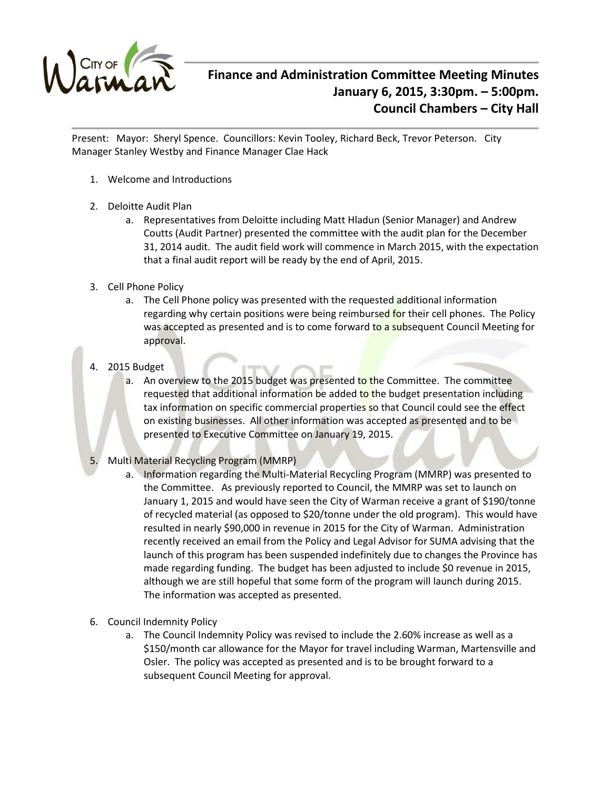

## **Finance and Administration Committee Meeting Minutes January 6, 2015, 3:30pm. – 5:00pm. Council Chambers – City Hall**

Present: Mayor: Sheryl Spence. Councillors: Kevin Tooley, Richard Beck, Trevor Peterson. City Manager Stanley Westby and Finance Manager Clae Hack

- 1. Welcome and Introductions
- 2. Deloitte Audit Plan
	- a. Representatives from Deloitte including Matt Hladun (Senior Manager) and Andrew Coutts (Audit Partner) presented the committee with the audit plan for the December 31, 2014 audit. The audit field work will commence in March 2015, with the expectation that a final audit report will be ready by the end of April, 2015.
- 3. Cell Phone Policy
	- a. The Cell Phone policy was presented with the requested additional information regarding why certain positions were being reimbursed for their cell phones. The Policy was accepted as presented and is to come forward to a subsequent Council Meeting for approval.
- 4. 2015 Budget
	- a. An overview to the 2015 budget was presented to the Committee. The committee requested that additional information be added to the budget presentation including tax information on specific commercial properties so that Council could see the effect on existing businesses. All other information was accepted as presented and to be presented to Executive Committee on January 19, 2015.
- 5. Multi Material Recycling Program (MMRP)
	- a. Information regarding the Multi-Material Recycling Program (MMRP) was presented to the Committee. As previously reported to Council, the MMRP was set to launch on January 1, 2015 and would have seen the City of Warman receive a grant of \$190/tonne of recycled material (as opposed to \$20/tonne under the old program). This would have resulted in nearly \$90,000 in revenue in 2015 for the City of Warman. Administration recently received an email from the Policy and Legal Advisor for SUMA advising that the launch of this program has been suspended indefinitely due to changes the Province has made regarding funding. The budget has been adjusted to include \$0 revenue in 2015, although we are still hopeful that some form of the program will launch during 2015. The information was accepted as presented.
- 6. Council Indemnity Policy
	- a. The Council Indemnity Policy was revised to include the 2.60% increase as well as a \$150/month car allowance for the Mayor for travel including Warman, Martensville and Osler. The policy was accepted as presented and is to be brought forward to a subsequent Council Meeting for approval.